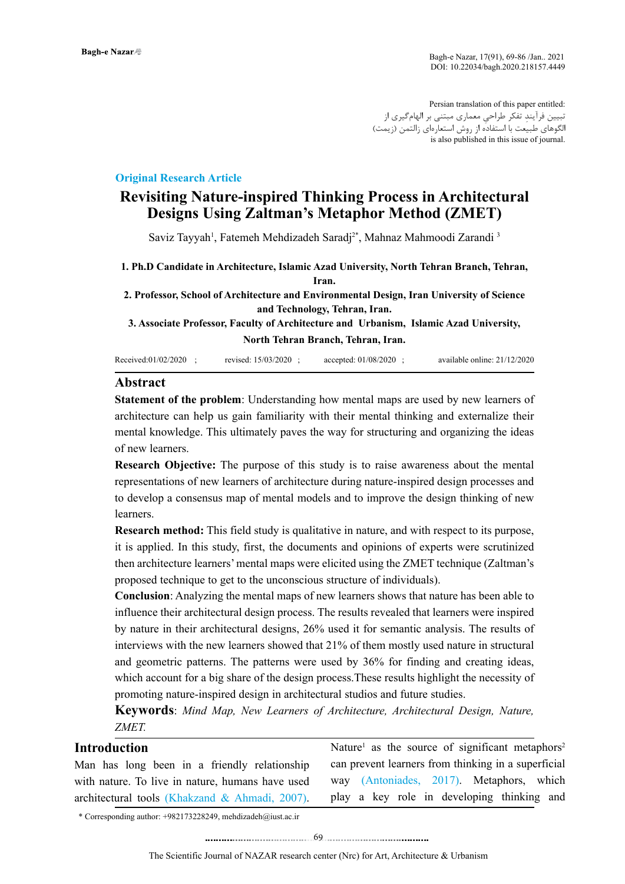Persian translation of this paper entitled: ِ تبیین فرآیند ِ تفکر طراحی معماری مبتنی بر الهامگیری از الگوهای طبیعت با استفاده از روش استعارهای زالتمن (زیمت) is also published in this issue of journal.

### **Original Research Article**

# **Revisiting Nature-inspired Thinking Process in Architectural Designs Using Zaltman's Metaphor Method (ZMET)**

Saviz Tayyah<sup>1</sup>, Fatemeh Mehdizadeh Saradj<sup>2\*</sup>, Mahnaz Mahmoodi Zarandi <sup>3</sup>

**1. Ph.D Candidate in Architecture, Islamic Azad University, North Tehran Branch, Tehran, Iran.**

**2. Professor, School of Architecture and Environmental Design, Iran University of Science and Technology, Tehran, Iran.**

**3. Associate Professor, Faculty of Architecture and Urbanism, Islamic Azad University, North Tehran Branch, Tehran, Iran.**

| Received:01/02/2020 | revised: 15/03/2020 | accepted: $01/08/2020$ | available online: 21/12/2020 |
|---------------------|---------------------|------------------------|------------------------------|
|---------------------|---------------------|------------------------|------------------------------|

#### **Abstract**

**Statement of the problem**: Understanding how mental maps are used by new learners of architecture can help us gain familiarity with their mental thinking and externalize their mental knowledge. This ultimately paves the way for structuring and organizing the ideas of new learners.

**Research Objective:** The purpose of this study is to raise awareness about the mental representations of new learners of architecture during nature-inspired design processes and to develop a consensus map of mental models and to improve the design thinking of new learners.

**Research method:** This field study is qualitative in nature, and with respect to its purpose, it is applied. In this study, first, the documents and opinions of experts were scrutinized then architecture learners' mental maps were elicited using the ZMET technique (Zaltman's proposed technique to get to the unconscious structure of individuals).

**Conclusion**: Analyzing the mental maps of new learners shows that nature has been able to influence their architectural design process. The results revealed that learners were inspired by nature in their architectural designs, 26% used it for semantic analysis. The results of interviews with the new learners showed that 21% of them mostly used nature in structural and geometric patterns. The patterns were used by 36% for finding and creating ideas, which account for a big share of the design process.These results highlight the necessity of promoting nature-inspired design in architectural studios and future studies.

**Keywords**: *Mind Map, New Learners of Architecture, Architectural Design, Nature, ZMET.*

#### **Introduction**

Man has long been in a friendly relationship with nature. To live in nature, humans have used architectural tools (Khakzand & Ahmadi, 2007).

Nature<sup>1</sup> as the source of significant metaphors<sup>2</sup> can prevent learners from thinking in a superficial way (Antoniades, 2017). Metaphors, which play a key role in developing thinking and

\* Corresponding author: +982173228249, mehdizadeh@iust.ac.ir

........................................69. . .. . ........... ........ ....... ..........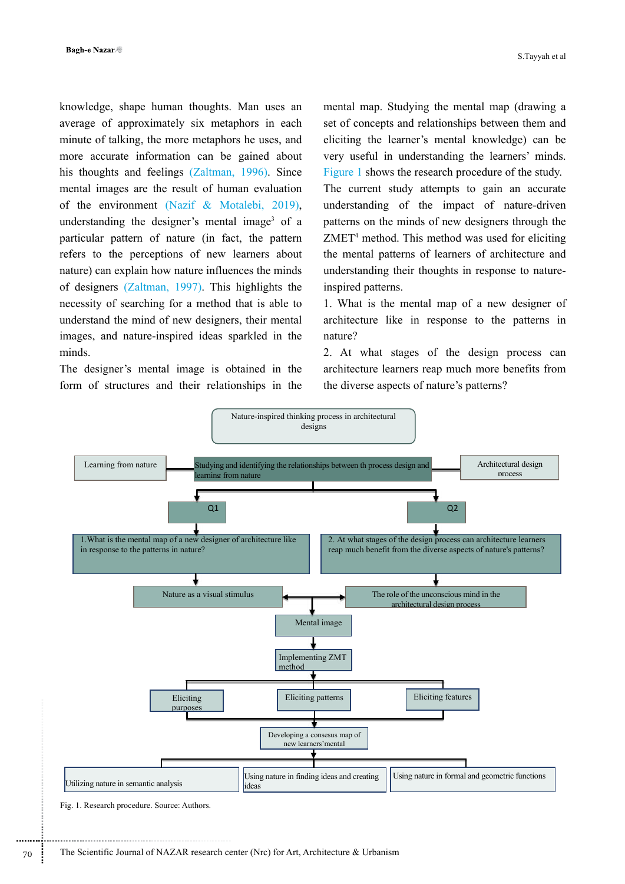knowledge, shape human thoughts. Man uses an average of approximately six metaphors in each minute of talking, the more metaphors he uses, and more accurate information can be gained about his thoughts and feelings (Zaltman, 1996). Since mental images are the result of human evaluation of the environment (Nazif & Motalebi, 2019), understanding the designer's mental image<sup>3</sup> of a particular pattern of nature (in fact, the pattern refers to the perceptions of new learners about nature) can explain how nature influences the minds of designers (Zaltman, 1997). This highlights the necessity of searching for a method that is able to understand the mind of new designers, their mental images, and nature-inspired ideas sparkled in the minds.

The designer's mental image is obtained in the form of structures and their relationships in the mental map. Studying the mental map (drawing a set of concepts and relationships between them and eliciting the learner's mental knowledge) can be very useful in understanding the learners' minds. Figure 1 shows the research procedure of the study. The current study attempts to gain an accurate understanding of the impact of nature-driven patterns on the minds of new designers through the ZMET4 method. This method was used for eliciting the mental patterns of learners of architecture and understanding their thoughts in response to natureinspired patterns.

1. What is the mental map of a new designer of architecture like in response to the patterns in nature?

2. At what stages of the design process can architecture learners reap much more benefits from the diverse aspects of nature's patterns?



Fig. 1. Research procedure. Source: Authors.

..............................................................................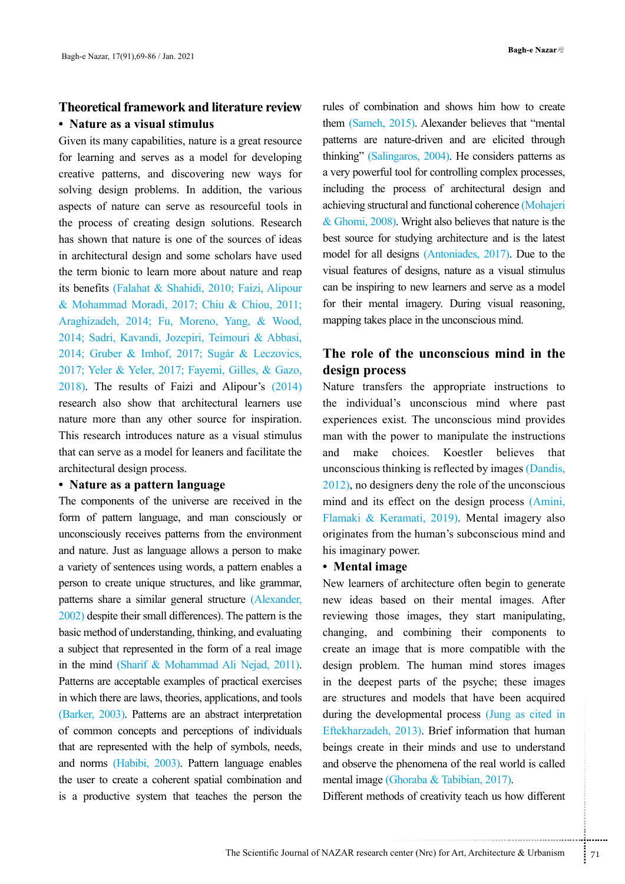# **Theoretical framework and literature review • Nature as a visual stimulus**

Given its many capabilities, nature is a great resource for learning and serves as a model for developing creative patterns, and discovering new ways for solving design problems. In addition, the various aspects of nature can serve as resourceful tools in the process of creating design solutions. Research has shown that nature is one of the sources of ideas in architectural design and some scholars have used the term bionic to learn more about nature and reap its benefits (Falahat & Shahidi, 2010; Faizi, Alipour & Mohammad Moradi, 2017; Chiu & Chiou, 2011; Araghizadeh, 2014; Fu, Moreno, Yang, & Wood, 2014; Sadri, Kavandi, Jozepiri, Teimouri & Abbasi, 2014; Gruber & Imhof, 2017; Sugár & Leczovics, 2017; Yeler & Yeler, 2017; Fayemi, Gilles, & Gazo, 2018). The results of Faizi and Alipour's (2014) research also show that architectural learners use nature more than any other source for inspiration. This research introduces nature as a visual stimulus that can serve as a model for leaners and facilitate the architectural design process.

#### **• Nature as a pattern language**

The components of the universe are received in the form of pattern language, and man consciously or unconsciously receives patterns from the environment and nature. Just as language allows a person to make a variety of sentences using words, a pattern enables a person to create unique structures, and like grammar, patterns share a similar general structure (Alexander, 2002) despite their small differences). The pattern is the basic method of understanding, thinking, and evaluating a subject that represented in the form of a real image in the mind (Sharif & Mohammad Ali Nejad, 2011). Patterns are acceptable examples of practical exercises in which there are laws, theories, applications, and tools (Barker, 2003). Patterns are an abstract interpretation of common concepts and perceptions of individuals that are represented with the help of symbols, needs, and norms (Habibi, 2003). Pattern language enables the user to create a coherent spatial combination and is a productive system that teaches the person the

rules of combination and shows him how to create them (Sameh, 2015). Alexander believes that "mental patterns are nature-driven and are elicited through thinking" (Salingaros, 2004). He considers patterns as a very powerful tool for controlling complex processes, including the process of architectural design and achieving structural and functional coherence (Mohajeri & Ghomi, 2008). Wright also believes that nature is the best source for studying architecture and is the latest model for all designs (Antoniades, 2017). Due to the visual features of designs, nature as a visual stimulus can be inspiring to new learners and serve as a model for their mental imagery. During visual reasoning, mapping takes place in the unconscious mind.

## **The role of the unconscious mind in the design process**

Nature transfers the appropriate instructions to the individual's unconscious mind where past experiences exist. The unconscious mind provides man with the power to manipulate the instructions and make choices. Koestler believes that unconscious thinking is reflected by images (Dandis, 2012), no designers deny the role of the unconscious mind and its effect on the design process (Amini, Flamaki & Keramati, 2019). Mental imagery also originates from the human's subconscious mind and his imaginary power.

#### **• Mental image**

elopmental process (Jung as cited in<br>2013). Brief information that human<br>n their minds and use to understand<br>phenomena of the real world is called<br>Shoraba & Tabibian, 2017).<br>ds of creativity teach us how different<br>the cont New learners of architecture often begin to generate new ideas based on their mental images. After reviewing those images, they start manipulating, changing, and combining their components to create an image that is more compatible with the design problem. The human mind stores images in the deepest parts of the psyche; these images are structures and models that have been acquired during the developmental process (Jung as cited in Eftekharzadeh, 2013). Brief information that human beings create in their minds and use to understand and observe the phenomena of the real world is called mental image (Ghoraba & Tabibian, 2017).

Different methods of creativity teach us how different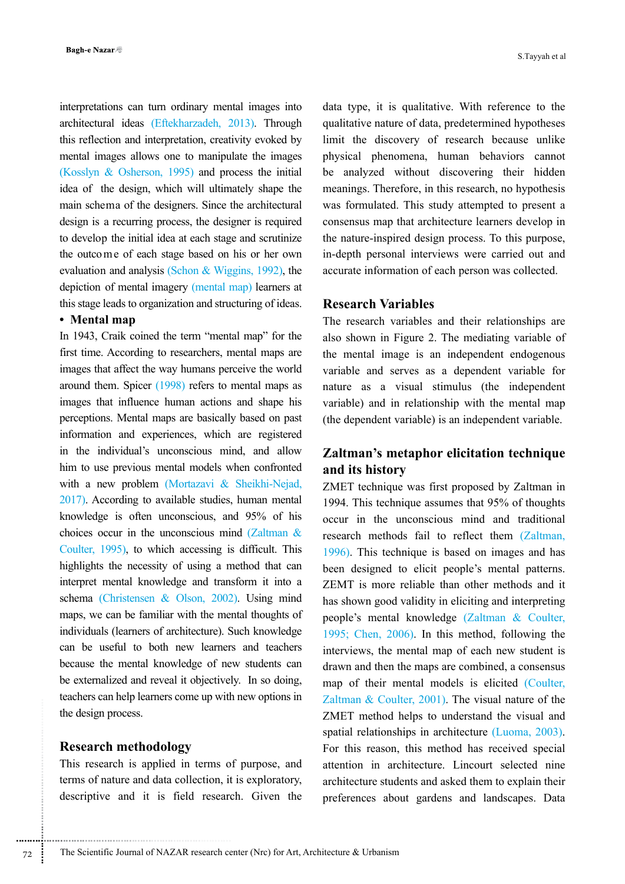interpretations can turn ordinary mental images into architectural ideas (Eftekharzadeh, 2013). Through this reflection and interpretation, creativity evoked by mental images allows one to manipulate the images (Kosslyn & Osherson, 1995) and process the initial idea of the design, which will ultimately shape the main schema of the designers. Since the architectural design is a recurring process, the designer is required to develop the initial idea at each stage and scrutinize the outcome of each stage based on his or her own evaluation and analysis (Schon & Wiggins, 1992), the depiction of mental imagery (mental map) learners at this stage leads to organization and structuring of ideas.

#### **• Mental map**

In 1943, Craik coined the term "mental map" for the first time. According to researchers, mental maps are images that affect the way humans perceive the world around them. Spicer (1998) refers to mental maps as images that influence human actions and shape his perceptions. Mental maps are basically based on past information and experiences, which are registered in the individual's unconscious mind, and allow him to use previous mental models when confronted with a new problem (Mortazavi & Sheikhi-Nejad, 2017). According to available studies, human mental knowledge is often unconscious, and 95% of his choices occur in the unconscious mind (Zaltman & Coulter, 1995), to which accessing is difficult. This highlights the necessity of using a method that can interpret mental knowledge and transform it into a schema (Christensen & Olson, 2002). Using mind maps, we can be familiar with the mental thoughts of individuals (learners of architecture). Such knowledge can be useful to both new learners and teachers because the mental knowledge of new students can be externalized and reveal it objectively. In so doing, teachers can help learners come up with new options in the design process.

### **Research methodology**

This research is applied in terms of purpose, and terms of nature and data collection, it is exploratory, descriptive and it is field research. Given the

data type, it is qualitative. With reference to the qualitative nature of data, predetermined hypotheses limit the discovery of research because unlike physical phenomena, human behaviors cannot be analyzed without discovering their hidden meanings. Therefore, in this research, no hypothesis was formulated. This study attempted to present a consensus map that architecture learners develop in the nature-inspired design process. To this purpose, in-depth personal interviews were carried out and accurate information of each person was collected.

## **Research Variables**

The research variables and their relationships are also shown in Figure 2. The mediating variable of the mental image is an independent endogenous variable and serves as a dependent variable for nature as a visual stimulus (the independent variable) and in relationship with the mental map (the dependent variable) is an independent variable.

## **Zaltman's metaphor elicitation technique and its history**

ZMET technique was first proposed by Zaltman in 1994. This technique assumes that 95% of thoughts occur in the unconscious mind and traditional research methods fail to reflect them (Zaltman, 1996). This technique is based on images and has been designed to elicit people's mental patterns. ZEMT is more reliable than other methods and it has shown good validity in eliciting and interpreting people's mental knowledge (Zaltman & Coulter, 1995; Chen, 2006). In this method, following the interviews, the mental map of each new student is drawn and then the maps are combined, a consensus map of their mental models is elicited (Coulter, Zaltman & Coulter, 2001). The visual nature of the ZMET method helps to understand the visual and spatial relationships in architecture (Luoma, 2003). For this reason, this method has received special attention in architecture. Lincourt selected nine architecture students and asked them to explain their preferences about gardens and landscapes. Data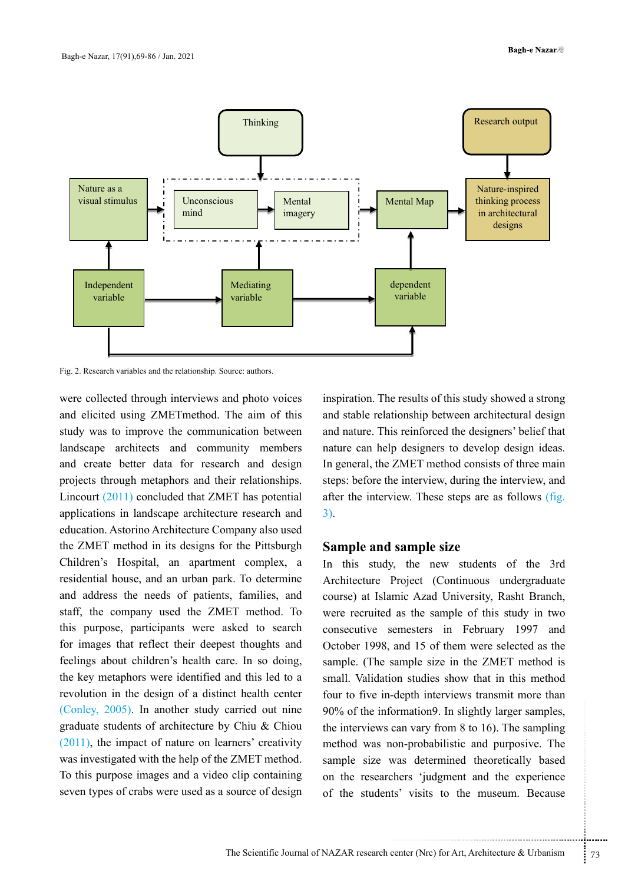

Fig. 2. Research variables and the relationship. Source: authors.

were collected through interviews and photo voices and elicited using ZMETmethod. The aim of this study was to improve the communication between landscape architects and community members and create better data for research and design projects through metaphors and their relationships. Lincourt (2011) concluded that ZMET has potential applications in landscape architecture research and education. Astorino Architecture Company also used the ZMET method in its designs for the Pittsburgh Children's Hospital, an apartment complex, a residential house, and an urban park. To determine and address the needs of patients, families, and staff, the company used the ZMET method. To this purpose, participants were asked to search for images that reflect their deepest thoughts and feelings about children's health care. In so doing, the key metaphors were identified and this led to a revolution in the design of a distinct health center (Conley, 2005). In another study carried out nine graduate students of architecture by Chiu & Chiou (2011), the impact of nature on learners' creativity was investigated with the help of the ZMET method. To this purpose images and a video clip containing seven types of crabs were used as a source of design

inspiration. The results of this study showed a strong and stable relationship between architectural design and nature. This reinforced the designers' belief that nature can help designers to develop design ideas. In general, the ZMET method consists of three main steps: before the interview, during the interview, and after the interview. These steps are as follows (fig. 3).

#### **Sample and sample size**

but be provided as a set of the samples,<br>
can vary from 8 to 16). The sampling<br>
on-probabilistic and purposive. The<br>
vas determined theoretically based<br>
hers 'judgment and the experience<br>
s' visits to the museum. Because<br> In this study, the new students of the 3rd Architecture Project (Continuous undergraduate course) at Islamic Azad University, Rasht Branch, were recruited as the sample of this study in two consecutive semesters in February 1997 and October 1998, and 15 of them were selected as the sample. (The sample size in the ZMET method is small. Validation studies show that in this method four to five in-depth interviews transmit more than 90% of the information9. In slightly larger samples, the interviews can vary from 8 to 16). The sampling method was non-probabilistic and purposive. The sample size was determined theoretically based on the researchers 'judgment and the experience of the students' visits to the museum. Because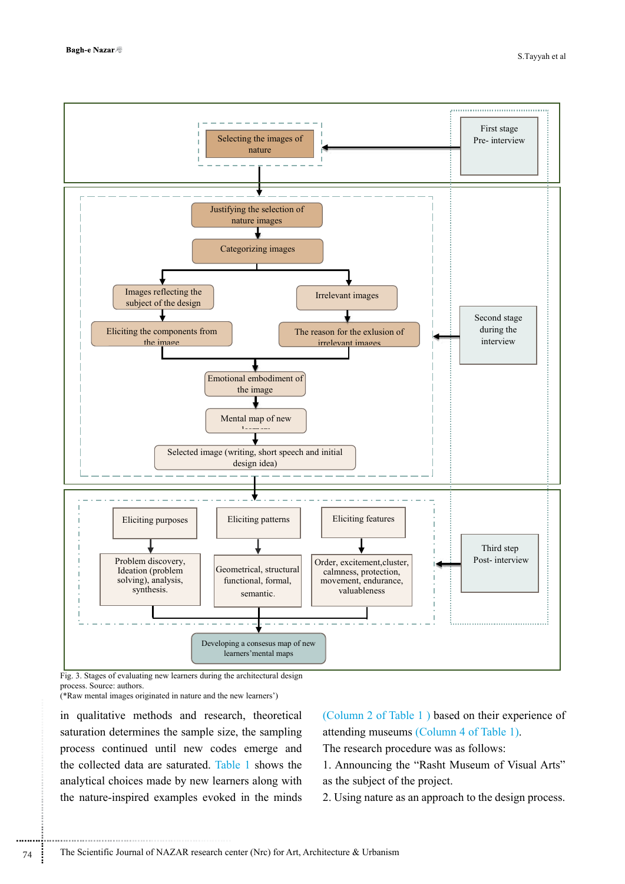

Fig. 3. Stages of evaluating new learners during the architectural design process. Source: authors.

(\*Raw mental images originated in nature and the new learners')

..............................................................................

in qualitative methods and research, theoretical saturation determines the sample size, the sampling process continued until new codes emerge and the collected data are saturated. Table 1 shows the analytical choices made by new learners along with the nature-inspired examples evoked in the minds (Column 2 of Table 1 ) based on their experience of attending museums (Column 4 of Table 1).

The research procedure was as follows:

1. Announcing the "Rasht Museum of Visual Arts" as the subject of the project.

2. Using nature as an approach to the design process.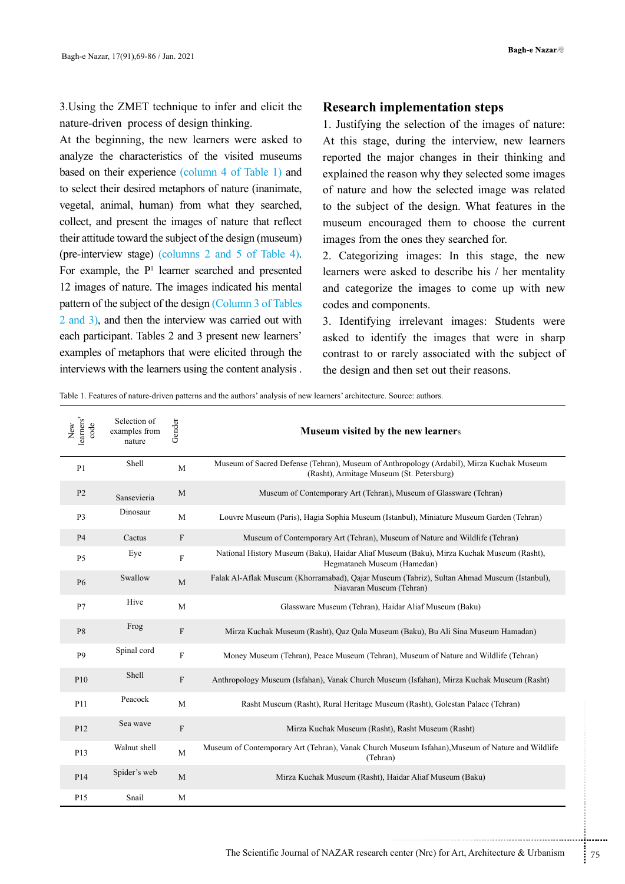3.Using the ZMET technique to infer and elicit the nature-driven process of design thinking.

At the beginning, the new learners were asked to analyze the characteristics of the visited museums based on their experience (column 4 of Table 1) and to select their desired metaphors of nature (inanimate, vegetal, animal, human) from what they searched, collect, and present the images of nature that reflect their attitude toward the subject of the design (museum) (pre-interview stage) (columns 2 and 5 of Table 4). For example, the P<sup>1</sup> learner searched and presented 12 images of nature. The images indicated his mental pattern of the subject of the design (Column 3 of Tables 2 and 3), and then the interview was carried out with each participant. Tables 2 and 3 present new learners' examples of metaphors that were elicited through the interviews with the learners using the content analysis .

#### **Research implementation steps**

1. Justifying the selection of the images of nature: At this stage, during the interview, new learners reported the major changes in their thinking and explained the reason why they selected some images of nature and how the selected image was related to the subject of the design. What features in the museum encouraged them to choose the current images from the ones they searched for.

2. Categorizing images: In this stage, the new learners were asked to describe his / her mentality and categorize the images to come up with new codes and components.

3. Identifying irrelevant images: Students were asked to identify the images that were in sharp contrast to or rarely associated with the subject of the design and then set out their reasons.

Table 1. Features of nature-driven patterns and the authors' analysis of new learners' architecture. Source: authors.

| New<br>learners'<br>code | Selection of<br>examples from<br>nature | Gender                    | Museum visited by the new learners                                                                                                    |
|--------------------------|-----------------------------------------|---------------------------|---------------------------------------------------------------------------------------------------------------------------------------|
| P <sub>1</sub>           | Shell                                   | $\mathbf M$               | Museum of Sacred Defense (Tehran), Museum of Anthropology (Ardabil), Mirza Kuchak Museum<br>(Rasht), Armitage Museum (St. Petersburg) |
| P <sub>2</sub>           | Sansevieria                             | M                         | Museum of Contemporary Art (Tehran), Museum of Glassware (Tehran)                                                                     |
| P <sub>3</sub>           | Dinosaur                                | $\mathbf M$               | Louvre Museum (Paris), Hagia Sophia Museum (Istanbul), Miniature Museum Garden (Tehran)                                               |
| <b>P4</b>                | Cactus                                  | $\mathbf F$               | Museum of Contemporary Art (Tehran), Museum of Nature and Wildlife (Tehran)                                                           |
| P <sub>5</sub>           | Eye                                     | $\rm F$                   | National History Museum (Baku), Haidar Aliaf Museum (Baku), Mirza Kuchak Museum (Rasht),<br>Hegmataneh Museum (Hamedan)               |
| <b>P6</b>                | Swallow                                 | M                         | Falak Al-Aflak Museum (Khorramabad), Qajar Museum (Tabriz), Sultan Ahmad Museum (Istanbul),<br>Niavaran Museum (Tehran)               |
| P7                       | Hive                                    | M                         | Glassware Museum (Tehran), Haidar Aliaf Museum (Baku)                                                                                 |
| P <sub>8</sub>           | Frog                                    | $\mathbf F$               | Mirza Kuchak Museum (Rasht), Qaz Qala Museum (Baku), Bu Ali Sina Museum Hamadan)                                                      |
| P <sub>9</sub>           | Spinal cord                             | $\boldsymbol{\mathrm{F}}$ | Money Museum (Tehran), Peace Museum (Tehran), Museum of Nature and Wildlife (Tehran)                                                  |
| P10                      | Shell                                   | $\mathbf F$               | Anthropology Museum (Isfahan), Vanak Church Museum (Isfahan), Mirza Kuchak Museum (Rasht)                                             |
| P11                      | Peacock                                 | M                         | Rasht Museum (Rasht), Rural Heritage Museum (Rasht), Golestan Palace (Tehran)                                                         |
| P <sub>12</sub>          | Sea wave                                | $\mathbf{F}$              | Mirza Kuchak Museum (Rasht), Rasht Museum (Rasht)                                                                                     |
| P13                      | Walnut shell                            | $\mathbf{M}$              | Museum of Contemporary Art (Tehran), Vanak Church Museum Isfahan), Museum of Nature and Wildlife<br>(Tehran)                          |
| P14                      | Spider's web                            | $\mathbf{M}$              | Mirza Kuchak Museum (Rasht), Haidar Aliaf Museum (Baku)                                                                               |
| P15                      | Snail                                   | M                         |                                                                                                                                       |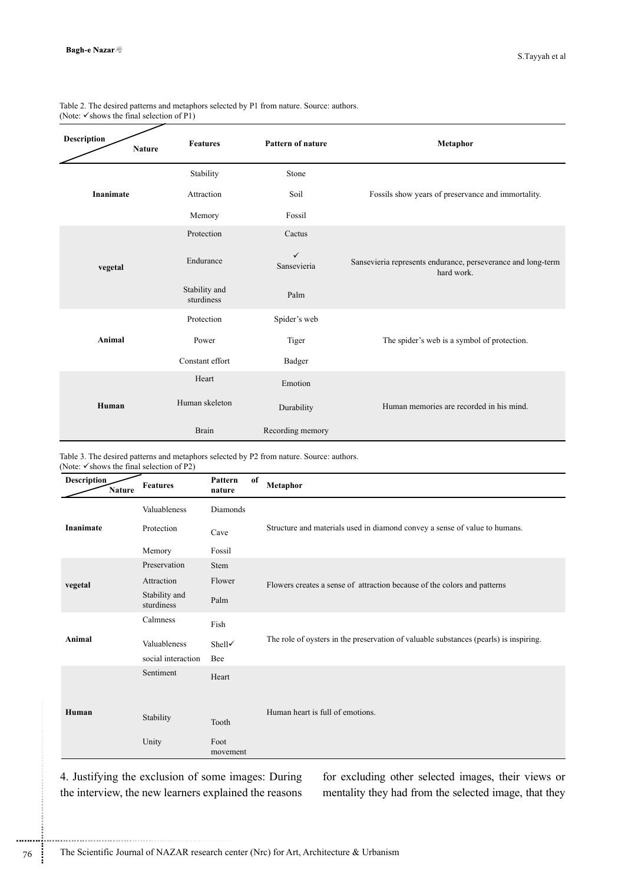| Table 2. The desired patterns and metaphors selected by P1 from nature. Source: authors. |  |
|------------------------------------------------------------------------------------------|--|
| (Note: $\checkmark$ shows the final selection of P1)                                     |  |

| <b>Description</b><br><b>Nature</b> | <b>Features</b>             | <b>Pattern of nature</b>    | Metaphor                                                                   |
|-------------------------------------|-----------------------------|-----------------------------|----------------------------------------------------------------------------|
|                                     | Stability                   | Stone                       |                                                                            |
| <b>Inanimate</b>                    | Attraction                  | Soil                        | Fossils show years of preservance and immortality.                         |
|                                     | Memory                      | Fossil                      |                                                                            |
|                                     | Protection                  | Cactus                      |                                                                            |
| vegetal                             | Endurance                   | $\checkmark$<br>Sansevieria | Sansevieria represents endurance, perseverance and long-term<br>hard work. |
|                                     | Stability and<br>sturdiness | Palm                        |                                                                            |
|                                     | Protection                  | Spider's web                |                                                                            |
| Animal                              | Power                       | Tiger                       | The spider's web is a symbol of protection.                                |
|                                     | Constant effort             | Badger                      |                                                                            |
|                                     | Heart                       | Emotion                     |                                                                            |
| Human                               | Human skeleton              | Durability                  | Human memories are recorded in his mind.                                   |
|                                     | <b>Brain</b>                | Recording memory            |                                                                            |

Table 3. The desired patterns and metaphors selected by P2 from nature. Source: authors. (Note:  $\checkmark$  shows the final selection of P2)

| <b>Description</b><br><b>Nature</b> | <b>Features</b>             | Pattern<br>nature | of | <b>Metaphor</b>                                                                       |  |  |
|-------------------------------------|-----------------------------|-------------------|----|---------------------------------------------------------------------------------------|--|--|
|                                     | Valuableness                | Diamonds          |    |                                                                                       |  |  |
| <b>Inanimate</b>                    | Protection                  | Cave              |    | Structure and materials used in diamond convey a sense of value to humans.            |  |  |
|                                     | Memory                      | Fossil            |    |                                                                                       |  |  |
|                                     | Preservation                | Stem              |    |                                                                                       |  |  |
| vegetal                             | Attraction                  | Flower            |    | Flowers creates a sense of attraction because of the colors and patterns              |  |  |
|                                     | Stability and<br>sturdiness | Palm              |    |                                                                                       |  |  |
|                                     | Calmness                    | Fish              |    |                                                                                       |  |  |
| Animal                              | Valuableness                | Shell√            |    | The role of oysters in the preservation of valuable substances (pearls) is inspiring. |  |  |
|                                     | social interaction          | Bee               |    |                                                                                       |  |  |
|                                     | Sentiment                   | Heart             |    |                                                                                       |  |  |
|                                     |                             |                   |    |                                                                                       |  |  |
| Human                               |                             |                   |    | Human heart is full of emotions.                                                      |  |  |
|                                     | Stability                   | Tooth             |    |                                                                                       |  |  |
|                                     | Unity                       | Foot<br>movement  |    |                                                                                       |  |  |

4. Justifying the exclusion of some images: During the interview, the new learners explained the reasons

............................................................

for excluding other selected images, their views or mentality they had from the selected image, that they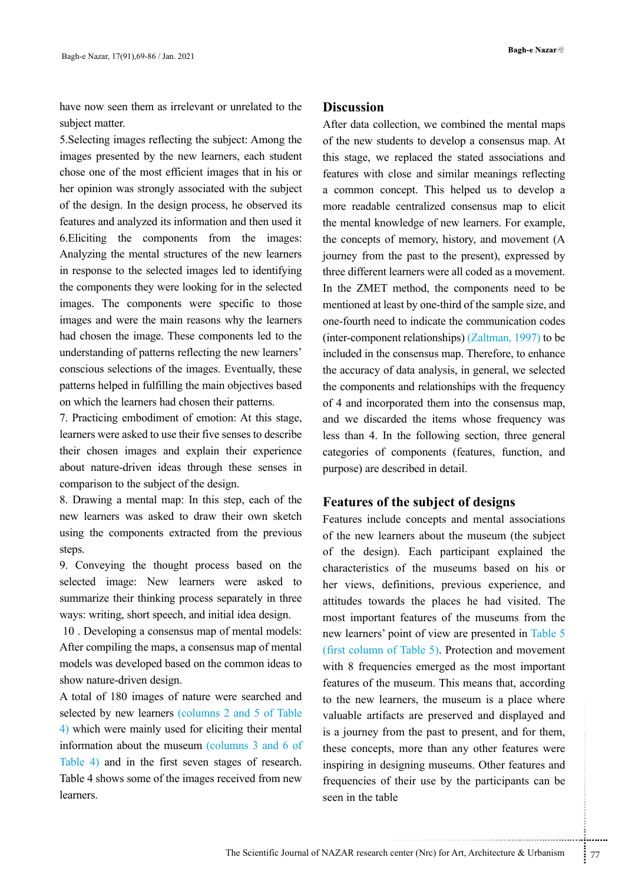have now seen them as irrelevant or unrelated to the subject matter.

5.Selecting images reflecting the subject: Among the images presented by the new learners, each student chose one of the most efficient images that in his or her opinion was strongly associated with the subject of the design. In the design process, he observed its features and analyzed its information and then used it 6.Eliciting the components from the images: Analyzing the mental structures of the new learners in response to the selected images led to identifying the components they were looking for in the selected images. The components were specific to those images and were the main reasons why the learners had chosen the image. These components led to the understanding of patterns reflecting the new learners' conscious selections of the images. Eventually, these patterns helped in fulfilling the main objectives based on which the learners had chosen their patterns.

7. Practicing embodiment of emotion: At this stage, learners were asked to use their five senses to describe their chosen images and explain their experience about nature-driven ideas through these senses in comparison to the subject of the design.

8. Drawing a mental map: In this step, each of the new learners was asked to draw their own sketch using the components extracted from the previous steps.

9. Conveying the thought process based on the selected image: New learners were asked to summarize their thinking process separately in three ways: writing, short speech, and initial idea design.

 10 . Developing a consensus map of mental models: After compiling the maps, a consensus map of mental models was developed based on the common ideas to show nature-driven design.

A total of 180 images of nature were searched and selected by new learners (columns 2 and 5 of Table 4) which were mainly used for eliciting their mental information about the museum (columns 3 and 6 of Table 4) and in the first seven stages of research. Table 4 shows some of the images received from new learners.

#### **Discussion**

After data collection, we combined the mental maps of the new students to develop a consensus map. At this stage, we replaced the stated associations and features with close and similar meanings reflecting a common concept. This helped us to develop a more readable centralized consensus map to elicit the mental knowledge of new learners. For example, the concepts of memory, history, and movement (A journey from the past to the present), expressed by three different learners were all coded as a movement. In the ZMET method, the components need to be mentioned at least by one-third of the sample size, and one-fourth need to indicate the communication codes (inter-component relationships) (Zaltman, 1997) to be included in the consensus map. Therefore, to enhance the accuracy of data analysis, in general, we selected the components and relationships with the frequency of 4 and incorporated them into the consensus map, and we discarded the items whose frequency was less than 4. In the following section, three general categories of components (features, function, and purpose) are described in detail.

### **Features of the subject of designs**

There, the massem is a prace where<br>ts are preserved and displayed and<br>om the past to present, and for them,<br>more than any other features were<br>signing museums. Other features and<br>their use by the participants can be<br>e<br>examp Features include concepts and mental associations of the new learners about the museum (the subject of the design). Each participant explained the characteristics of the museums based on his or her views, definitions, previous experience, and attitudes towards the places he had visited. The most important features of the museums from the new learners' point of view are presented in Table 5 (first column of Table 5). Protection and movement with 8 frequencies emerged as the most important features of the museum. This means that, according to the new learners, the museum is a place where valuable artifacts are preserved and displayed and is a journey from the past to present, and for them, these concepts, more than any other features were inspiring in designing museums. Other features and frequencies of their use by the participants can be seen in the table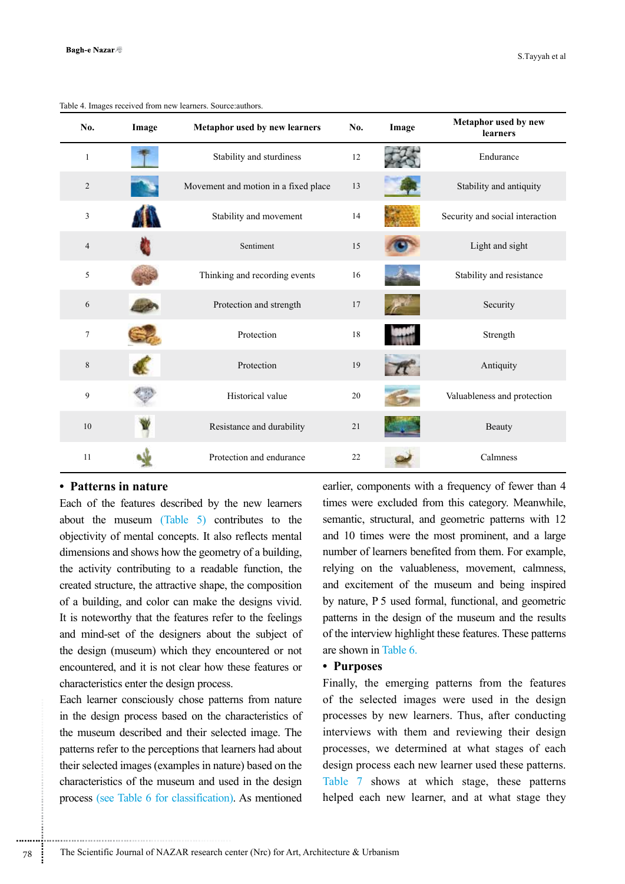| No.            | Image | Metaphor used by new learners        | No. | Image | Metaphor used by new<br>learners |
|----------------|-------|--------------------------------------|-----|-------|----------------------------------|
| $\mathbf{1}$   |       | Stability and sturdiness             | 12  |       | Endurance                        |
| $\overline{2}$ |       | Movement and motion in a fixed place | 13  |       | Stability and antiquity          |
| 3              |       | Stability and movement               | 14  |       | Security and social interaction  |
| $\overline{4}$ |       | Sentiment                            | 15  |       | Light and sight                  |
| 5              |       | Thinking and recording events        | 16  |       | Stability and resistance         |
| 6              |       | Protection and strength              | 17  |       | Security                         |
| $\tau$         |       | Protection                           | 18  |       | Strength                         |
| $\,$ 8 $\,$    |       | Protection                           | 19  |       | Antiquity                        |
| 9              |       | Historical value                     | 20  |       | Valuableness and protection      |
| 10             |       | Resistance and durability            | 21  |       | Beauty                           |
| 11             |       | Protection and endurance             | 22  |       | Calmness                         |

Table 4. Images received from new learners. Source:authors.

#### **• Patterns in nature**

Each of the features described by the new learners about the museum (Table 5) contributes to the objectivity of mental concepts. It also reflects mental dimensions and shows how the geometry of a building, the activity contributing to a readable function, the created structure, the attractive shape, the composition of a building, and color can make the designs vivid. It is noteworthy that the features refer to the feelings and mind-set of the designers about the subject of the design (museum) which they encountered or not encountered, and it is not clear how these features or characteristics enter the design process.

Each learner consciously chose patterns from nature in the design process based on the characteristics of the museum described and their selected image. The patterns refer to the perceptions that learners had about their selected images (examples in nature) based on the characteristics of the museum and used in the design process (see Table 6 for classification). As mentioned

..............................................................................

earlier, components with a frequency of fewer than 4 times were excluded from this category. Meanwhile, semantic, structural, and geometric patterns with 12 and 10 times were the most prominent, and a large number of learners benefited from them. For example, relying on the valuableness, movement, calmness, and excitement of the museum and being inspired by nature, P 5 used formal, functional, and geometric patterns in the design of the museum and the results of the interview highlight these features. These patterns are shown in Table 6.

#### **• Purposes**

Finally, the emerging patterns from the features of the selected images were used in the design processes by new learners. Thus, after conducting interviews with them and reviewing their design processes, we determined at what stages of each design process each new learner used these patterns. Table 7 shows at which stage, these patterns helped each new learner, and at what stage they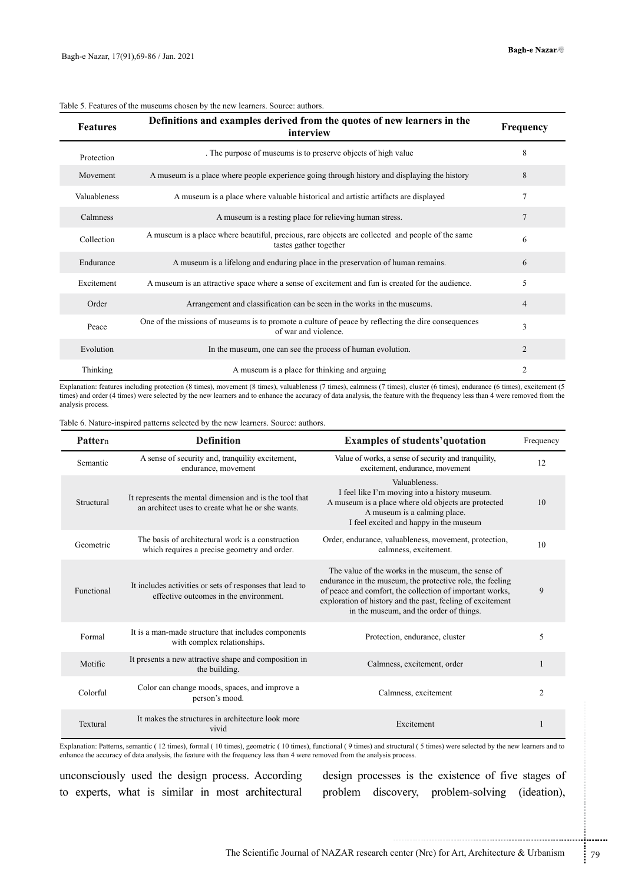| <b>Features</b> | Definitions and examples derived from the quotes of new learners in the<br>interview                                        | Frequency      |
|-----------------|-----------------------------------------------------------------------------------------------------------------------------|----------------|
| Protection      | The purpose of museums is to preserve objects of high value                                                                 | 8              |
| Movement        | A museum is a place where people experience going through history and displaying the history                                | 8              |
| Valuableness    | A museum is a place where valuable historical and artistic artifacts are displayed                                          | $\tau$         |
| Calmness        | A museum is a resting place for relieving human stress.                                                                     | $\tau$         |
| Collection      | A museum is a place where beautiful, precious, rare objects are collected and people of the same<br>tastes gather together  | 6              |
| Endurance       | A museum is a lifelong and enduring place in the preservation of human remains.                                             | 6              |
| Excitement      | A museum is an attractive space where a sense of excitement and fun is created for the audience.                            | 5              |
| Order           | Arrangement and classification can be seen in the works in the museums.                                                     | $\overline{4}$ |
| Peace           | One of the missions of museums is to promote a culture of peace by reflecting the dire consequences<br>of war and violence. | 3              |
| Evolution       | In the museum, one can see the process of human evolution.                                                                  | 2              |
| Thinking        | A museum is a place for thinking and arguing                                                                                | $\mathfrak{D}$ |

#### Table 5. Features of the museums chosen by the new learners. Source: authors.

Explanation: features including protection (8 times), movement (8 times), valuableness (7 times), calmness (7 times), cluster (6 times), endurance (6 times), excitement (5 times) and order (4 times) were selected by the new learners and to enhance the accuracy of data analysis, the feature with the frequency less than 4 were removed from the analysis process.

Table 6. Nature-inspired patterns selected by the new learners. Source: authors.

| Pattern    | <b>Definition</b>                                                                                                                                                                                                                  | <b>Examples of students' quotation</b>                                                                                                                                                                                                                                               | Frequency   |
|------------|------------------------------------------------------------------------------------------------------------------------------------------------------------------------------------------------------------------------------------|--------------------------------------------------------------------------------------------------------------------------------------------------------------------------------------------------------------------------------------------------------------------------------------|-------------|
| Semantic   | A sense of security and, tranquility excitement,<br>endurance, movement                                                                                                                                                            | Value of works, a sense of security and tranquility,<br>excitement, endurance, movement                                                                                                                                                                                              | 12          |
| Structural | It represents the mental dimension and is the tool that<br>an architect uses to create what he or she wants.                                                                                                                       | Valuableness.<br>I feel like I'm moving into a history museum.<br>A museum is a place where old objects are protected<br>A museum is a calming place.<br>I feel excited and happy in the museum                                                                                      | 10          |
| Geometric  | The basis of architectural work is a construction<br>which requires a precise geometry and order.                                                                                                                                  | Order, endurance, valuableness, movement, protection,<br>calmness, excitement.                                                                                                                                                                                                       | 10          |
| Functional | It includes activities or sets of responses that lead to<br>effective outcomes in the environment.                                                                                                                                 | The value of the works in the museum, the sense of<br>endurance in the museum, the protective role, the feeling<br>of peace and comfort, the collection of important works,<br>exploration of history and the past, feeling of excitement<br>in the museum, and the order of things. | 9           |
| Formal     | It is a man-made structure that includes components<br>with complex relationships.                                                                                                                                                 | Protection, endurance, cluster                                                                                                                                                                                                                                                       | 5           |
| Motific    | It presents a new attractive shape and composition in<br>the building.                                                                                                                                                             | Calmness, excitement, order                                                                                                                                                                                                                                                          | 1           |
| Colorful   | Color can change moods, spaces, and improve a<br>person's mood.                                                                                                                                                                    | Calmness, excitement                                                                                                                                                                                                                                                                 | 2           |
| Textural   | It makes the structures in architecture look more<br>vivid                                                                                                                                                                         | Excitement                                                                                                                                                                                                                                                                           | 1           |
|            | enhance the accuracy of data analysis, the feature with the frequency less than 4 were removed from the analysis process.<br>unconsciously used the design process. According<br>to experts, what is similar in most architectural | Explanation: Patterns, semantic (12 times), formal (10 times), geometric (10 times), functional (9 times) and structural (5 times) were selected by the new learners and to<br>design processes is the existence of five stages of<br>problem discovery, problem-solving             | (ideation), |
|            |                                                                                                                                                                                                                                    |                                                                                                                                                                                                                                                                                      |             |
|            |                                                                                                                                                                                                                                    | The Scientific Journal of NAZAR research center (Nrc) for Art, Architecture & Urbanism                                                                                                                                                                                               |             |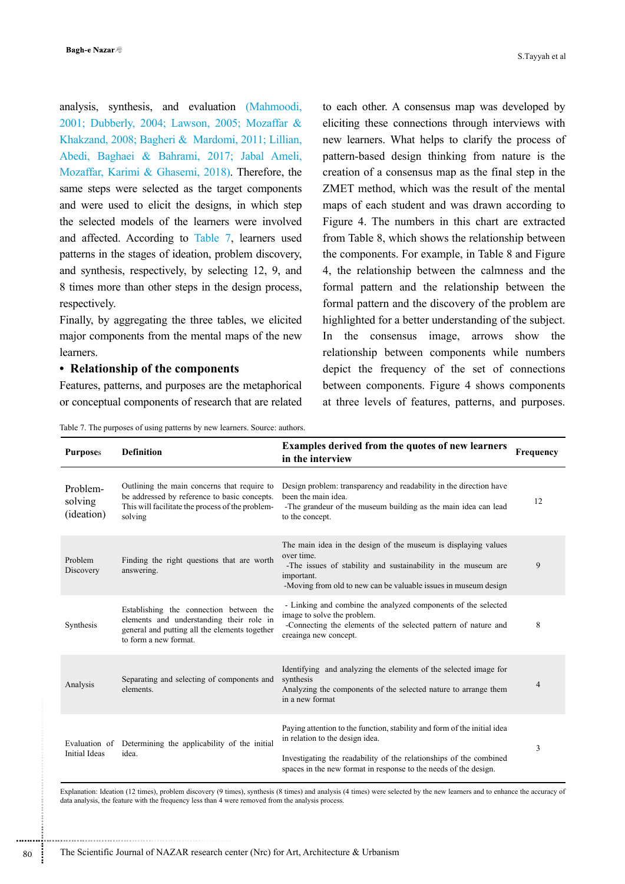analysis, synthesis, and evaluation (Mahmoodi, 2001; Dubberly, 2004; Lawson, 2005; Mozaffar & Khakzand, 2008; Bagheri & Mardomi, 2011; Lillian, Abedi, Baghaei & Bahrami, 2017; Jabal Ameli, Mozaffar, Karimi & Ghasemi, 2018). Therefore, the same steps were selected as the target components and were used to elicit the designs, in which step the selected models of the learners were involved and affected. According to Table 7, learners used patterns in the stages of ideation, problem discovery, and synthesis, respectively, by selecting 12, 9, and 8 times more than other steps in the design process, respectively.

Finally, by aggregating the three tables, we elicited major components from the mental maps of the new learners.

#### **• Relationship of the components**

Features, patterns, and purposes are the metaphorical or conceptual components of research that are related to each other. A consensus map was developed by eliciting these connections through interviews with new learners. What helps to clarify the process of pattern-based design thinking from nature is the creation of a consensus map as the final step in the ZMET method, which was the result of the mental maps of each student and was drawn according to Figure 4. The numbers in this chart are extracted from Table 8, which shows the relationship between the components. For example, in Table 8 and Figure 4, the relationship between the calmness and the formal pattern and the relationship between the formal pattern and the discovery of the problem are highlighted for a better understanding of the subject. In the consensus image, arrows show the relationship between components while numbers depict the frequency of the set of connections between components. Figure 4 shows components at three levels of features, patterns, and purposes.

Table 7. The purposes of using patterns by new learners. Source: authors.

| <b>Purposes</b>                   | <b>Definition</b>                                                                                                                                             | Examples derived from the quotes of new learners<br>in the interview                                                                                                                                                                                  | Frequency      |
|-----------------------------------|---------------------------------------------------------------------------------------------------------------------------------------------------------------|-------------------------------------------------------------------------------------------------------------------------------------------------------------------------------------------------------------------------------------------------------|----------------|
| Problem-<br>solving<br>(ideation) | Outlining the main concerns that require to<br>be addressed by reference to basic concepts.<br>This will facilitate the process of the problem-<br>solving    | Design problem: transparency and readability in the direction have<br>been the main idea.<br>-The grandeur of the museum building as the main idea can lead<br>to the concept.                                                                        | 12             |
| Problem<br>Discovery              | Finding the right questions that are worth<br>answering.                                                                                                      | The main idea in the design of the museum is displaying values<br>over time.<br>-The issues of stability and sustainability in the museum are<br>important.<br>-Moving from old to new can be valuable issues in museum design                        | 9              |
| Synthesis                         | Establishing the connection between the<br>elements and understanding their role in<br>general and putting all the elements together<br>to form a new format. | - Linking and combine the analyzed components of the selected<br>image to solve the problem.<br>-Connecting the elements of the selected pattern of nature and<br>creainga new concept.                                                               | 8              |
| Analysis                          | Separating and selecting of components and<br>elements.                                                                                                       | Identifying and analyzing the elements of the selected image for<br>synthesis<br>Analyzing the components of the selected nature to arrange them<br>in a new format                                                                                   | $\overline{4}$ |
| <b>Initial Ideas</b>              | Evaluation of Determining the applicability of the initial<br>idea.                                                                                           | Paying attention to the function, stability and form of the initial idea<br>in relation to the design idea.<br>Investigating the readability of the relationships of the combined<br>spaces in the new format in response to the needs of the design. | 3              |

Explanation: Ideation (12 times), problem discovery (9 times), synthesis (8 times) and analysis (4 times) were selected by the new learners and to enhance the accuracy of data analysis, the feature with the frequency less than 4 were removed from the analysis process.

............................................................

..............................................................................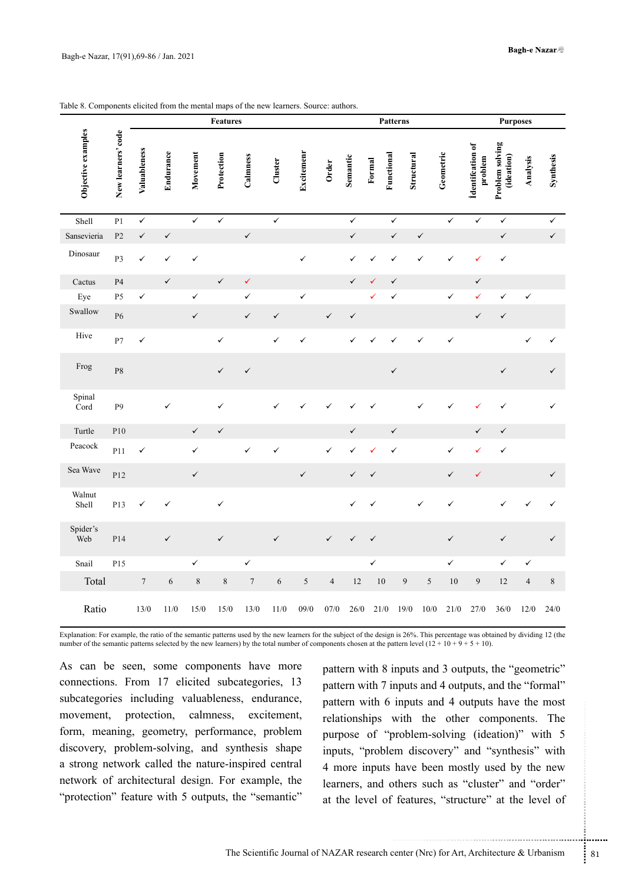|                    |                    |                  |              |              | <b>Features</b> |              |              |              |                          |              |              | <b>Patterns</b> |              |              |                             | <b>Purposes</b>               |                |              |
|--------------------|--------------------|------------------|--------------|--------------|-----------------|--------------|--------------|--------------|--------------------------|--------------|--------------|-----------------|--------------|--------------|-----------------------------|-------------------------------|----------------|--------------|
| Objective examples | New learners' code | Valuableness     | Endurance    | Movement     | Protection      | Calmness     | Cluster      | Excitemenr   | Order                    | Semantic     | Formal       | Functional      | Structural   | Geometric    | identifcation of<br>problem | Problem solving<br>(ideation) | Analysis       | Synthesis    |
| Shell              | P <sub>1</sub>     | $\checkmark$     |              | $\checkmark$ | $\checkmark$    |              | $\checkmark$ |              |                          | $\checkmark$ |              | $\checkmark$    |              | $\checkmark$ | $\checkmark$                | $\checkmark$                  |                | $\checkmark$ |
| Sansevieria        | P2                 | $\checkmark$     | $\checkmark$ |              |                 | $\checkmark$ |              |              |                          | $\checkmark$ |              | $\checkmark$    | $\checkmark$ |              |                             | $\checkmark$                  |                | $\checkmark$ |
| Dinosaur           | P <sub>3</sub>     | ✓                | ✓            | $\checkmark$ |                 |              |              | $\checkmark$ |                          | $\checkmark$ | ✓            | ✓               |              | ✓            | ✓                           | ✓                             |                |              |
| Cactus             | P4                 |                  | $\checkmark$ |              | $\checkmark$    | $\checkmark$ |              |              |                          | $\checkmark$ | ✓            | $\checkmark$    |              |              | $\checkmark$                |                               |                |              |
| Eye                | P <sub>5</sub>     | ✓                |              | $\checkmark$ |                 | $\checkmark$ |              | ✓            |                          |              | ✓            | $\checkmark$    |              | $\checkmark$ | ✓                           | ✓                             | $\checkmark$   |              |
| Swallow            | P <sub>6</sub>     |                  |              | $\checkmark$ |                 | $\checkmark$ | $\checkmark$ |              | $\checkmark$             | $\checkmark$ |              |                 |              |              | $\checkmark$                | $\checkmark$                  |                |              |
| Hive               | P7                 | ✓                |              |              | ✓               |              | ✓            | ✓            |                          | ✓            |              |                 | ✓            | $\checkmark$ |                             |                               | ✓              | ✓            |
| Frog               | P8                 |                  |              |              | $\checkmark$    | $\checkmark$ |              |              |                          |              |              | $\checkmark$    |              |              |                             | $\checkmark$                  |                | $\checkmark$ |
| Spinal<br>Cord     | P <sub>9</sub>     |                  | $\checkmark$ |              | $\checkmark$    |              | ✓            |              |                          |              | ✓            |                 | ✓            | ✓            |                             | ✓                             |                | ✓            |
| Turtle             | P10                |                  |              | $\checkmark$ | $\checkmark$    |              |              |              |                          | $\checkmark$ |              | $\checkmark$    |              |              | $\checkmark$                | $\checkmark$                  |                |              |
| Peacock            | P11                | ✓                |              | $\checkmark$ |                 | $\checkmark$ | ✓            |              | ✓                        | $\checkmark$ | ✓            | ✓               |              | $\checkmark$ | ✓                           | $\checkmark$                  |                |              |
| Sea Wave           | P12                |                  |              | $\checkmark$ |                 |              |              | $\checkmark$ |                          | ✓            | $\checkmark$ |                 |              | $\checkmark$ | ✓                           |                               |                | $\checkmark$ |
| Walnut<br>Shell    | P13                | ✓                | ✓            |              | $\checkmark$    |              |              |              |                          | $\checkmark$ | $\checkmark$ |                 | $\checkmark$ | $\checkmark$ |                             | ✓                             |                | ✓            |
| Spider's<br>Web    | P14                |                  | $\checkmark$ |              | $\checkmark$    |              | $\checkmark$ |              | $\checkmark$             | $\checkmark$ | $\checkmark$ |                 |              | $\checkmark$ |                             | $\checkmark$                  |                | $\checkmark$ |
| Snail              | P15                |                  |              | $\checkmark$ |                 | $\checkmark$ |              |              |                          |              | $\checkmark$ |                 |              | $\checkmark$ |                             | $\checkmark$                  | ✓              |              |
| Total              |                    | $\boldsymbol{7}$ | $\sqrt{6}$   | $\,$ $\,$    | $\,$ $\,$       | $\sqrt{ }$   | 6            | $\sqrt{5}$   | $\overline{\mathcal{A}}$ | 12           | $10\,$       | 9               | $\sqrt{5}$   | $10\,$       | 9                           | 12                            | $\overline{a}$ | $\,$ 8 $\,$  |
| Ratio              |                    | $13/0$           | $11/0$       | $15/0$       | $15/0$          | 13/0         | $11/0$       | 09/0         | 07/0                     | $26/0$       | 21/0         | 19/0            | $10/0$       | 21/0         | 27/0                        | 36/0                          | 12/0           | 24/0         |

Table 8. Components elicited from the mental maps of the new learners. Source: authors.

Explanation: For example, the ratio of the semantic patterns used by the new learners for the subject of the design is 26%. This percentage was obtained by dividing 12 (the number of the semantic patterns selected by the new learners) by the total number of components chosen at the pattern level  $(12 + 10 + 9 + 5 + 10)$ .

As can be seen, some components have more connections. From 17 elicited subcategories, 13 subcategories including valuableness, endurance, movement, protection, calmness, excitement, form, meaning, geometry, performance, problem discovery, problem-solving, and synthesis shape a strong network called the nature-inspired central network of architectural design. For example, the "protection" feature with 5 outputs, the "semantic"

mputs and 4 outputs have the most<br>with the other components. The<br>problem-solving (ideation)" with 5<br>m discovery" and "synthesis" with<br>have been mostly used by the new<br>thers such as "cluster" and "order"<br>features, "structur pattern with 8 inputs and 3 outputs, the "geometric" pattern with 7 inputs and 4 outputs, and the "formal" pattern with 6 inputs and 4 outputs have the most relationships with the other components. The purpose of "problem-solving (ideation)" with 5 inputs, "problem discovery" and "synthesis" with 4 more inputs have been mostly used by the new learners, and others such as "cluster" and "order" at the level of features, "structure" at the level of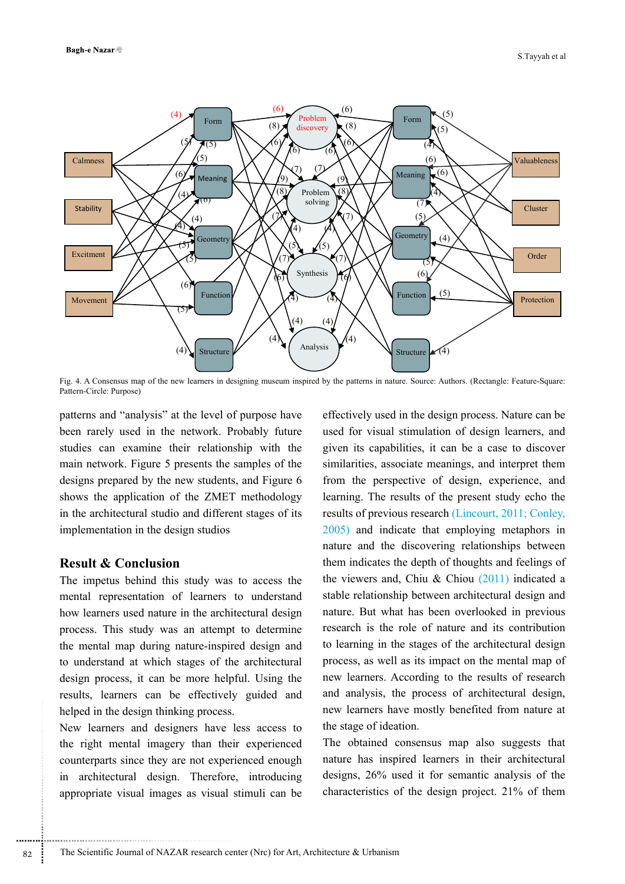

Fig. 4. A Consensus map of the new learners in designing museum inspired by the patterns in nature. Source: Authors. (Rectangle: Feature-Square: Pattern-Circle: Purpose)

patterns and "analysis" at the level of purpose have been rarely used in the network. Probably future studies can examine their relationship with the main network. Figure 5 presents the samples of the designs prepared by the new students, and Figure 6 shows the application of the ZMET methodology in the architectural studio and different stages of its implementation in the design studios

### **Result & Conclusion**

The impetus behind this study was to access the mental representation of learners to understand how learners used nature in the architectural design process. This study was an attempt to determine the mental map during nature-inspired design and to understand at which stages of the architectural design process, it can be more helpful. Using the results, learners can be effectively guided and helped in the design thinking process.

New learners and designers have less access to the right mental imagery than their experienced counterparts since they are not experienced enough in architectural design. Therefore, introducing appropriate visual images as visual stimuli can be

effectively used in the design process. Nature can be used for visual stimulation of design learners, and given its capabilities, it can be a case to discover similarities, associate meanings, and interpret them from the perspective of design, experience, and learning. The results of the present study echo the results of previous research (Lincourt, 2011; Conley, 2005) and indicate that employing metaphors in nature and the discovering relationships between them indicates the depth of thoughts and feelings of the viewers and, Chiu & Chiou  $(2011)$  indicated a stable relationship between architectural design and nature. But what has been overlooked in previous research is the role of nature and its contribution to learning in the stages of the architectural design process, as well as its impact on the mental map of new learners. According to the results of research and analysis, the process of architectural design, new learners have mostly benefited from nature at the stage of ideation.

The obtained consensus map also suggests that nature has inspired learners in their architectural designs, 26% used it for semantic analysis of the characteristics of the design project. 21% of them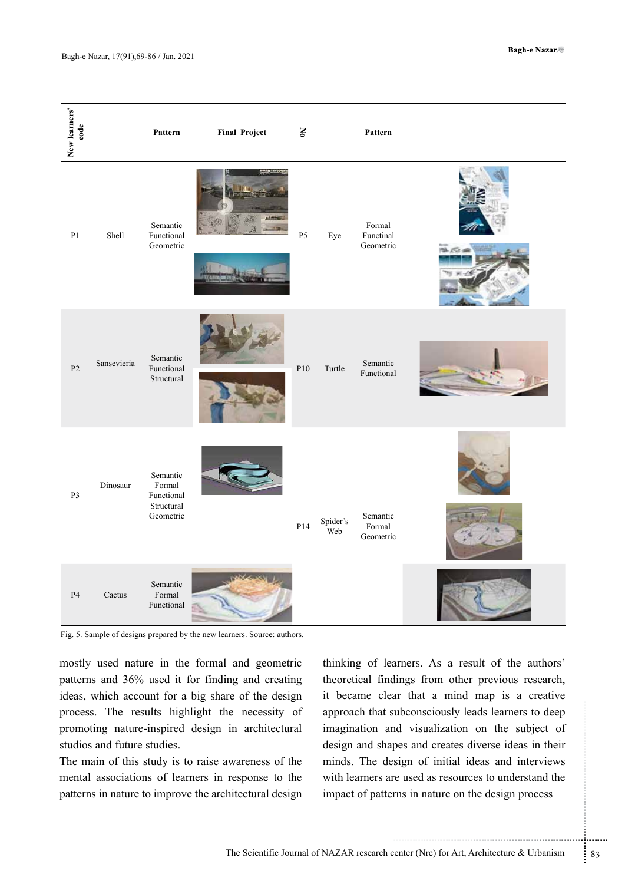| New learners'<br>code |             | Pattern                                                     | <b>Final Project</b>                                                     | $\mathbf{S}$   |                      | Pattern                          |  |
|-----------------------|-------------|-------------------------------------------------------------|--------------------------------------------------------------------------|----------------|----------------------|----------------------------------|--|
| $\mathbf{P}1$         | Shell       | Semantic<br>Functional<br>Geometric                         |                                                                          | P <sub>5</sub> | Eye                  | Formal<br>Functinal<br>Geometric |  |
| P <sub>2</sub>        | Sansevieria | Semantic<br>Functional<br>Structural                        |                                                                          | P10            | Turtle               | Semantic<br>Functional           |  |
| P3                    | Dinosaur    | Semantic<br>Formal<br>Functional<br>Structural<br>Geometric |                                                                          | P14            | Spider's<br>.<br>Web | Semantic<br>Formal<br>Geometric  |  |
| P <sub>4</sub>        | Cactus      | Semantic<br>Formal<br>Functional                            | Fig. 5. Sample of designs prepared by the new learners. Source: authors. |                |                      |                                  |  |

mostly used nature in the formal and geometric patterns and 36% used it for finding and creating ideas, which account for a big share of the design process. The results highlight the necessity of promoting nature-inspired design in architectural studios and future studies.

The main of this study is to raise awareness of the mental associations of learners in response to the patterns in nature to improve the architectural design

ubconsciously leads learners to deep<br>nd visualization on the subject of<br>pes and creates diverse ideas in their<br>sign of initial ideas and interviews<br>re used as resources to understand the<br>rens in nature on the design proces thinking of learners. As a result of the authors' theoretical findings from other previous research, it became clear that a mind map is a creative approach that subconsciously leads learners to deep imagination and visualization on the subject of design and shapes and creates diverse ideas in their minds. The design of initial ideas and interviews with learners are used as resources to understand the impact of patterns in nature on the design process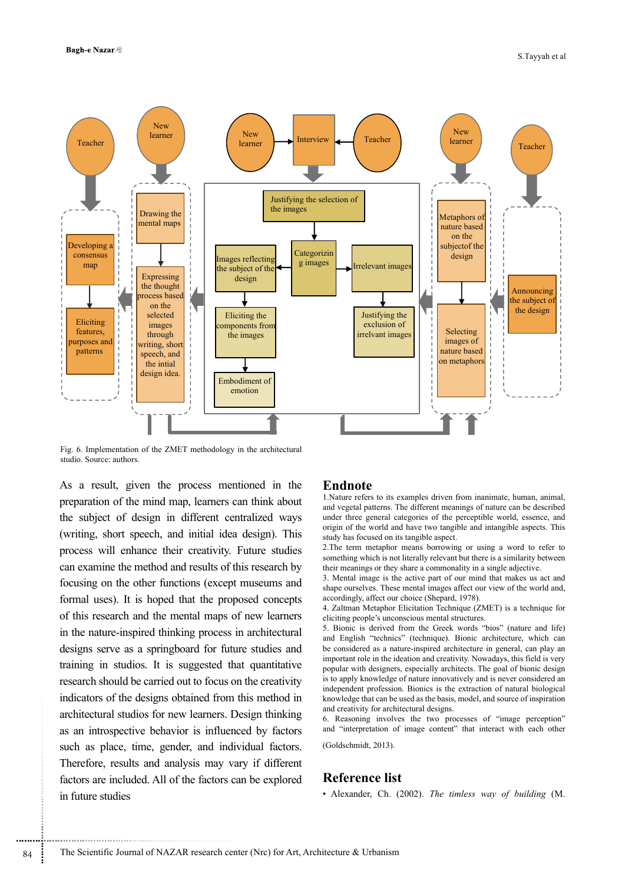

Fig. 6. Implementation of the ZMET methodology in the architectural studio. Source: authors.

As a result, given the process mentioned in the preparation of the mind map, learners can think about the subject of design in different centralized ways (writing, short speech, and initial idea design). This process will enhance their creativity. Future studies can examine the method and results of this research by focusing on the other functions (except museums and formal uses). It is hoped that the proposed concepts of this research and the mental maps of new learners in the nature-inspired thinking process in architectural designs serve as a springboard for future studies and training in studios. It is suggested that quantitative research should be carried out to focus on the creativity indicators of the designs obtained from this method in architectural studios for new learners. Design thinking as an introspective behavior is influenced by factors such as place, time, gender, and individual factors. Therefore, results and analysis may vary if different factors are included. All of the factors can be explored in future studies

#### **Endnote**

1.Nature refers to its examples driven from inanimate, human, animal, and vegetal patterns. The different meanings of nature can be described under three general categories of the perceptible world, essence, and origin of the world and have two tangible and intangible aspects. This study has focused on its tangible aspect.

2.The term metaphor means borrowing or using a word to refer to something which is not literally relevant but there is a similarity between their meanings or they share a commonality in a single adjective.

3. Mental image is the active part of our mind that makes us act and shape ourselves. These mental images affect our view of the world and, accordingly, affect our choice (Shepard, 1978).

4. Zaltman Metaphor Elicitation Technique (ZMET) is a technique for eliciting people's unconscious mental structures.

5. Bionic is derived from the Greek words "bios" (nature and life) and English "technics" (technique). Bionic architecture, which can be considered as a nature-inspired architecture in general, can play an important role in the ideation and creativity. Nowadays, this field is very popular with designers, especially architects. The goal of bionic design is to apply knowledge of nature innovatively and is never considered an independent profession. Bionics is the extraction of natural biological knowledge that can be used as the basis, model, and source of inspiration and creativity for architectural designs.

6. Reasoning involves the two processes of "image perception" and "interpretation of image content" that interact with each other

(Goldschmidt, 2013).

## **Reference list**

• Alexander, Ch. (2002). *The timless way of building* (M.

..............................................................................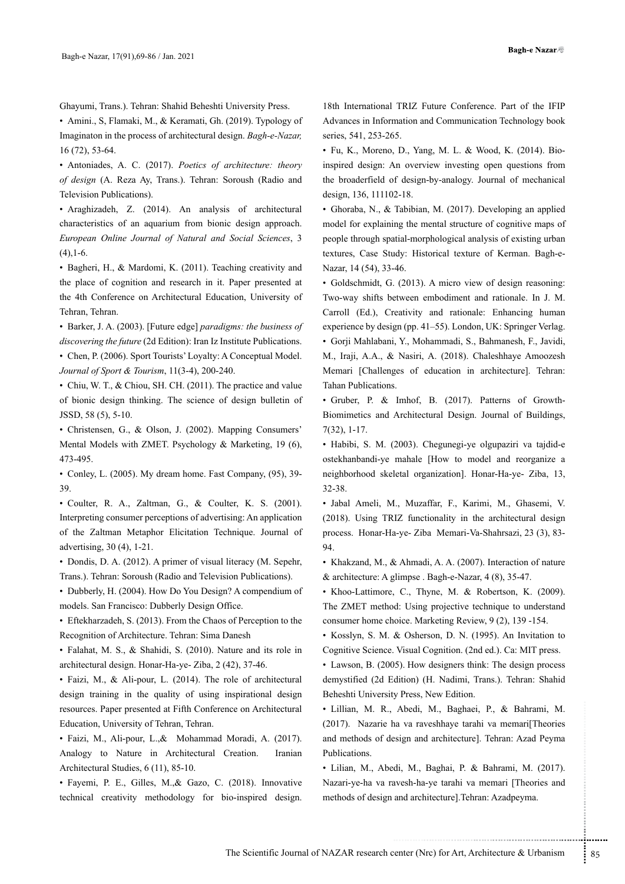Ghayumi, Trans.). Tehran: Shahid Beheshti University Press.

• Amini., S, Flamaki, M., & Keramati, Gh. (2019). Typology of Imaginaton in the process of architectural design. *Bagh-e-Nazar,*  16 (72), 53-64.

• Antoniades, A. C. (2017). *Poetics of architecture: theory of design* (A. Reza Ay, Trans.). Tehran: Soroush (Radio and Television Publications).

• Araghizadeh, Z. (2014). An analysis of architectural characteristics of an aquarium from bionic design approach. *European Online Journal of Natural and Social Sciences*, 3  $(4)$ , 1-6.

• Bagheri, H., & Mardomi, K. (2011). Teaching creativity and the place of cognition and research in it. Paper presented at the 4th Conference on Architectural Education, University of Tehran, Tehran.

• Barker, J. A. (2003). [Future edge] *paradigms: the business of discovering the future* (2d Edition): Iran Iz Institute Publications.

• Chen, P. (2006). Sport Tourists' Loyalty: A Conceptual Model. *Journal of Sport & Tourism*, 11(3-4), 200-240.

• Chiu, W. T., & Chiou, SH. CH. (2011). The practice and value of bionic design thinking. The science of design bulletin of JSSD, 58 (5), 5-10.

• Christensen, G., & Olson, J. (2002). Mapping Consumers' Mental Models with ZMET. Psychology & Marketing, 19 (6), 473-495.

• Conley, L. (2005). My dream home. Fast Company, (95), 39- 39.

• Coulter, R. A., Zaltman, G., & Coulter, K. S. (2001). Interpreting consumer perceptions of advertising: An application of the Zaltman Metaphor Elicitation Technique. Journal of advertising, 30 (4), 1-21.

• Dondis, D. A. (2012). A primer of visual literacy (M. Sepehr, Trans.). Tehran: Soroush (Radio and Television Publications).

• Dubberly, H. (2004). How Do You Design? A compendium of models. San Francisco: Dubberly Design Office.

• Eftekharzadeh, S. (2013). From the Chaos of Perception to the Recognition of Architecture. Tehran: Sima Danesh

• Falahat, M. S., & Shahidi, S. (2010). Nature and its role in architectural design. Honar-Ha-ye- Ziba, 2 (42), 37-46.

• Faizi, M., & Ali-pour, L. (2014). The role of architectural design training in the quality of using inspirational design resources. Paper presented at Fifth Conference on Architectural Education, University of Tehran, Tehran.

• Faizi, M., Ali-pour, L.,& Mohammad Moradi, A. (2017). Analogy to Nature in Architectural Creation. Iranian Architectural Studies, 6 (11), 85-10.

• Fayemi, P. E., Gilles, M.,& Gazo, C. (2018). Innovative technical creativity methodology for bio-inspired design.

Advances in Information and Communication Technology book series, 541, 253-265.

• Fu, K., Moreno, D., Yang, M. L. & Wood, K. (2014). Bioinspired design: An overview investing open questions from the broaderfield of design-by-analogy. Journal of mechanical design, 136, 111102-18.

• Ghoraba, N., & Tabibian, M. (2017). Developing an applied model for explaining the mental structure of cognitive maps of people through spatial-morphological analysis of existing urban textures, Case Study: Historical texture of Kerman. Bagh-e-Nazar, 14 (54), 33-46.

• Goldschmidt, G. (2013). A micro view of design reasoning: Two-way shifts between embodiment and rationale. In J. M. Carroll (Ed.), Creativity and rationale: Enhancing human experience by design (pp. 41–55). London, UK: Springer Verlag. • Gorji Mahlabani, Y., Mohammadi, S., Bahmanesh, F., Javidi, M., Iraji, A.A., & Nasiri, A. (2018). Chaleshhaye Amoozesh Memari [Challenges of education in architecture]. Tehran: Tahan Publications.

• Gruber, P. & Imhof, B. (2017). Patterns of Growth-Biomimetics and Architectural Design. Journal of Buildings, 7(32), 1-17.

• Habibi, S. M. (2003). Chegunegi-ye olgupaziri va tajdid-e ostekhanbandi-ye mahale [How to model and reorganize a neighborhood skeletal organization]. Honar-Ha-ye- Ziba, 13, 32-38.

• Jabal Ameli, M., Muzaffar, F., Karimi, M., Ghasemi, V. (2018). Using TRIZ functionality in the architectural design process. Honar-Ha-ye- Ziba Memari-Va-Shahrsazi, 23 (3), 83- 94.

• Khakzand, M., & Ahmadi, A. A. (2007). Interaction of nature & architecture: A glimpse . Bagh-e-Nazar, 4 (8), 35-47.

• Khoo-Lattimore, C., Thyne, M. & Robertson, K. (2009). The ZMET method: Using projective technique to understand consumer home choice. Marketing Review, 9 (2), 139 -154.

• Kosslyn, S. M. & Osherson, D. N. (1995). An Invitation to Cognitive Science. Visual Cognition. (2nd ed.). Ca: MIT press.

• Lawson, B. (2005). How designers think: The design process demystified (2d Edition) (H. Nadimi, Trans.). Tehran: Shahid Beheshti University Press, New Edition.

Abedi, M., Baghaei, P., & Bahrami, M.<br>
ha va raveshhaye tarahi va memari[Theories<br>
sign and architecture]. Tehran: Azad Peyma<br>
di, M., Baghai, P. & Bahrami, M. (2017).<br>
awesh-ha-ye tarahi va memari [Theories and<br>
and archi • Lillian, M. R., Abedi, M., Baghaei, P., & Bahrami, M. (2017). Nazarie ha va raveshhaye tarahi va memari[Theories and methods of design and architecture]. Tehran: Azad Peyma Publications.

• Lilian, M., Abedi, M., Baghai, P. & Bahrami, M. (2017). Nazari-ye-ha va ravesh-ha-ye tarahi va memari [Theories and methods of design and architecture].Tehran: Azadpeyma.